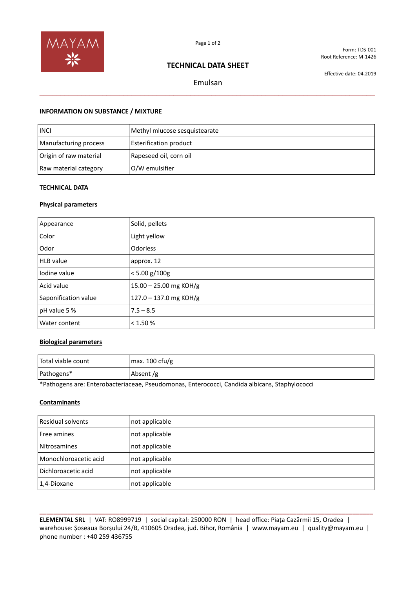

Form: TDS-001 Root Reference: M-1426

## **TECHNICAL DATA SHEET**

Effective date: 04.2019

# Emulsan **\_\_\_\_\_\_\_\_\_\_\_\_\_\_\_\_\_\_\_\_\_\_\_\_\_\_\_\_\_\_\_\_\_\_\_\_\_\_\_\_\_\_\_\_\_\_\_\_\_\_\_\_\_\_\_\_\_\_\_\_\_\_\_\_\_\_\_\_\_\_\_\_\_\_\_\_\_\_\_\_**

## **INFORMATION ON SUBSTANCE / MIXTURE**

| <b>INCI</b>            | Methyl mlucose sesquistearate |
|------------------------|-------------------------------|
| Manufacturing process  | <b>Esterification product</b> |
| Origin of raw material | Rapeseed oil, corn oil        |
| Raw material category  | O/W emulsifier                |

## **TECHNICAL DATA**

## **Physical parameters**

| Appearance           | Solid, pellets           |
|----------------------|--------------------------|
| Color                | Light yellow             |
| Odor                 | Odorless                 |
| <b>HLB</b> value     | approx. 12               |
| Iodine value         | $< 5.00$ g/100g          |
| Acid value           | $15.00 - 25.00$ mg KOH/g |
| Saponification value | $127.0 - 137.0$ mg KOH/g |
| pH value 5 %         | $7.5 - 8.5$              |
| Water content        | < 1.50 %                 |

## **Biological parameters**

| Total viable count | max. $100 \text{ c}$ fu/g |
|--------------------|---------------------------|
| Pathogens*         | Absent/g                  |

\*Pathogens are: Enterobacteriaceae, Pseudomonas, Enterococci, Candida albicans, Staphylococci

## **Contaminants**

| Residual solvents     | not applicable |
|-----------------------|----------------|
| Free amines           | not applicable |
| Nitrosamines          | not applicable |
| Monochloroacetic acid | not applicable |
| Dichloroacetic acid   | not applicable |
| 1,4-Dioxane           | not applicable |

**\_\_\_\_\_\_\_\_\_\_\_\_\_\_\_\_\_\_\_\_\_\_\_\_\_\_\_\_\_\_\_\_\_\_\_\_\_\_\_\_\_\_\_\_\_\_\_\_\_\_\_\_\_\_\_\_\_\_\_\_\_\_\_\_\_\_\_\_\_\_\_\_\_\_\_\_\_\_\_\_\_\_\_\_\_\_\_\_\_\_\_\_\_\_\_\_ ELEMENTAL SRL** | VAT: RO8999719 | social capital: 250000 RON | head office: Piața Cazărmii 15, Oradea | warehouse: Șoseaua Borșului 24/B, 410605 Oradea, jud. Bihor, România | www.mayam.eu | quality@mayam.eu | phone number : +40 259 436755